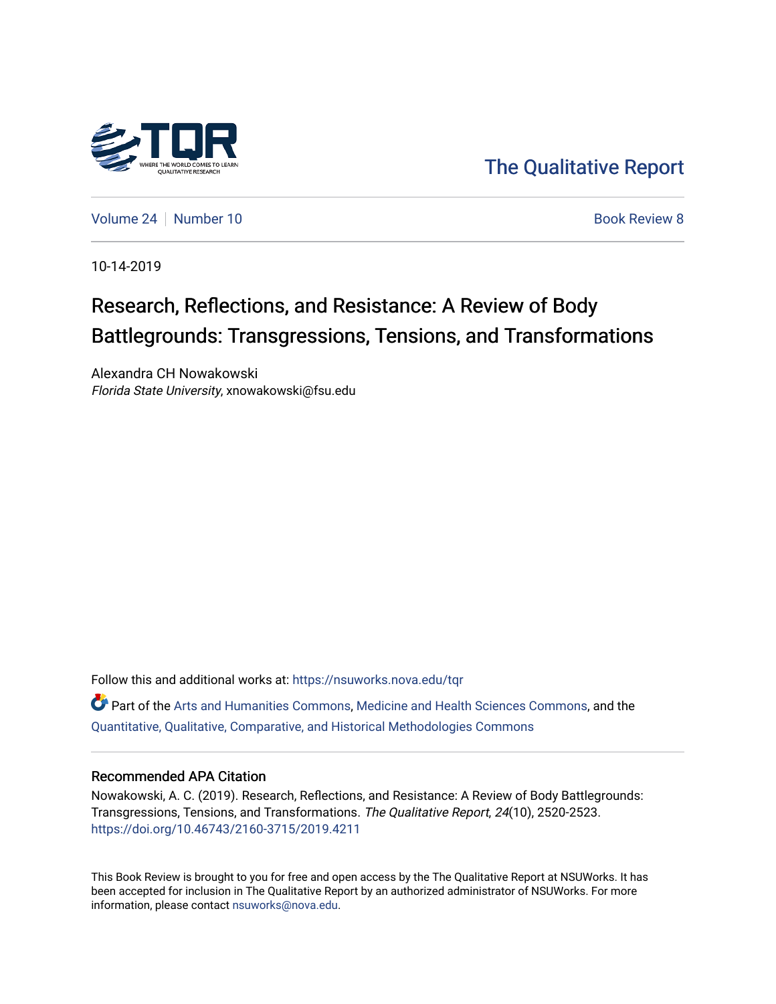

[The Qualitative Report](https://nsuworks.nova.edu/tqr) 

[Volume 24](https://nsuworks.nova.edu/tqr/vol24) [Number 10](https://nsuworks.nova.edu/tqr/vol24/iss10) **Book Review 8** Authority 8 Authority 8 Authority 8 Authority 8 Authority 8 Authority 8 Authority 8

10-14-2019

## Research, Reflections, and Resistance: A Review of Body Battlegrounds: Transgressions, Tensions, and Transformations

Alexandra CH Nowakowski Florida State University, xnowakowski@fsu.edu

Follow this and additional works at: [https://nsuworks.nova.edu/tqr](https://nsuworks.nova.edu/tqr?utm_source=nsuworks.nova.edu%2Ftqr%2Fvol24%2Fiss10%2F8&utm_medium=PDF&utm_campaign=PDFCoverPages) 

Part of the [Arts and Humanities Commons,](http://network.bepress.com/hgg/discipline/438?utm_source=nsuworks.nova.edu%2Ftqr%2Fvol24%2Fiss10%2F8&utm_medium=PDF&utm_campaign=PDFCoverPages) [Medicine and Health Sciences Commons,](http://network.bepress.com/hgg/discipline/648?utm_source=nsuworks.nova.edu%2Ftqr%2Fvol24%2Fiss10%2F8&utm_medium=PDF&utm_campaign=PDFCoverPages) and the [Quantitative, Qualitative, Comparative, and Historical Methodologies Commons](http://network.bepress.com/hgg/discipline/423?utm_source=nsuworks.nova.edu%2Ftqr%2Fvol24%2Fiss10%2F8&utm_medium=PDF&utm_campaign=PDFCoverPages) 

#### Recommended APA Citation

Nowakowski, A. C. (2019). Research, Reflections, and Resistance: A Review of Body Battlegrounds: Transgressions, Tensions, and Transformations. The Qualitative Report, 24(10), 2520-2523. <https://doi.org/10.46743/2160-3715/2019.4211>

This Book Review is brought to you for free and open access by the The Qualitative Report at NSUWorks. It has been accepted for inclusion in The Qualitative Report by an authorized administrator of NSUWorks. For more information, please contact [nsuworks@nova.edu.](mailto:nsuworks@nova.edu)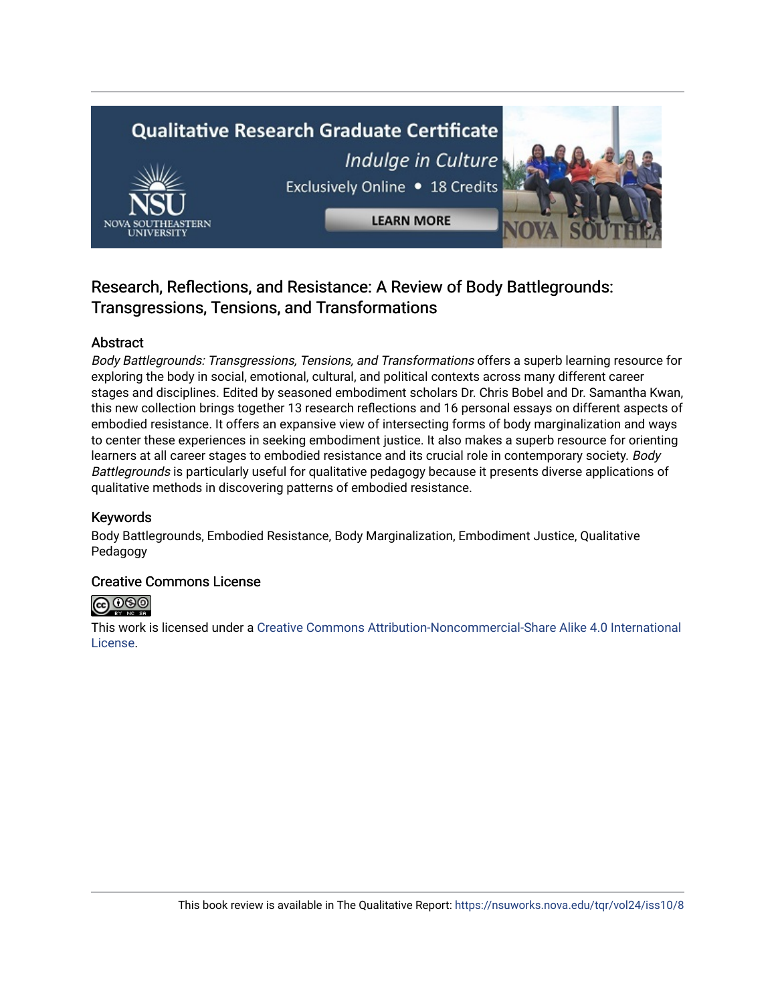# **Qualitative Research Graduate Certificate** Indulge in Culture Exclusively Online . 18 Credits **LEARN MORE**

### Research, Reflections, and Resistance: A Review of Body Battlegrounds: Transgressions, Tensions, and Transformations

#### Abstract

Body Battlegrounds: Transgressions, Tensions, and Transformations offers a superb learning resource for exploring the body in social, emotional, cultural, and political contexts across many different career stages and disciplines. Edited by seasoned embodiment scholars Dr. Chris Bobel and Dr. Samantha Kwan, this new collection brings together 13 research reflections and 16 personal essays on different aspects of embodied resistance. It offers an expansive view of intersecting forms of body marginalization and ways to center these experiences in seeking embodiment justice. It also makes a superb resource for orienting learners at all career stages to embodied resistance and its crucial role in contemporary society. Body Battlegrounds is particularly useful for qualitative pedagogy because it presents diverse applications of qualitative methods in discovering patterns of embodied resistance.

#### Keywords

Body Battlegrounds, Embodied Resistance, Body Marginalization, Embodiment Justice, Qualitative Pedagogy

#### Creative Commons License



This work is licensed under a [Creative Commons Attribution-Noncommercial-Share Alike 4.0 International](https://creativecommons.org/licenses/by-nc-sa/4.0/)  [License](https://creativecommons.org/licenses/by-nc-sa/4.0/).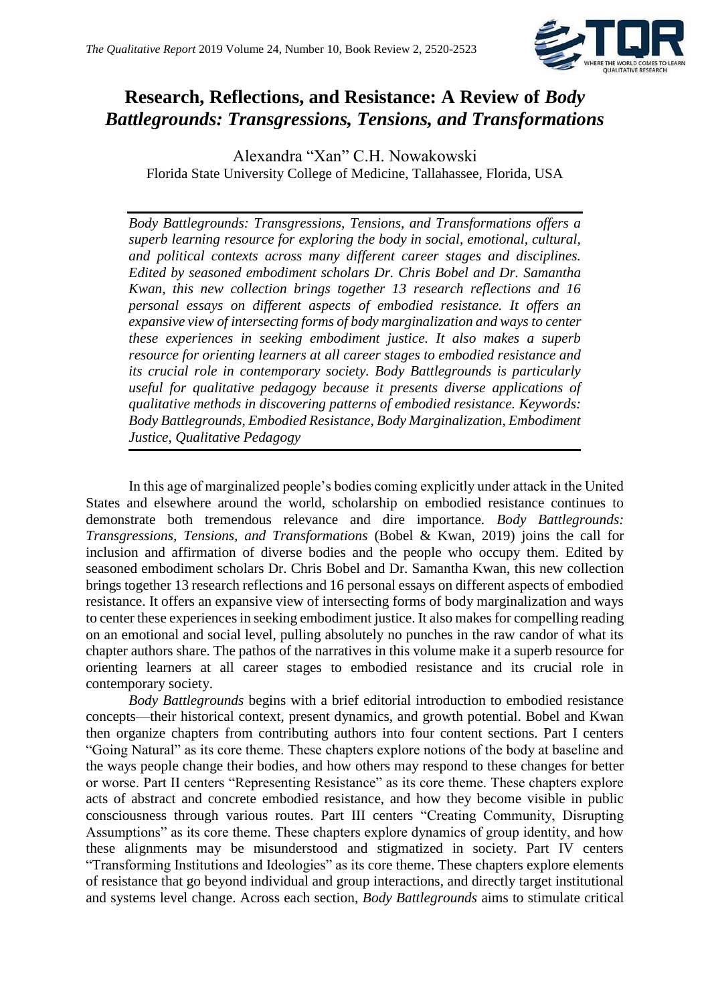

## **Research, Reflections, and Resistance: A Review of** *Body Battlegrounds: Transgressions, Tensions, and Transformations*

Alexandra "Xan" C.H. Nowakowski Florida State University College of Medicine, Tallahassee, Florida, USA

*Body Battlegrounds: Transgressions, Tensions, and Transformations offers a superb learning resource for exploring the body in social, emotional, cultural, and political contexts across many different career stages and disciplines. Edited by seasoned embodiment scholars Dr. Chris Bobel and Dr. Samantha Kwan, this new collection brings together 13 research reflections and 16 personal essays on different aspects of embodied resistance. It offers an expansive view of intersecting forms of body marginalization and ways to center these experiences in seeking embodiment justice. It also makes a superb resource for orienting learners at all career stages to embodied resistance and its crucial role in contemporary society. Body Battlegrounds is particularly useful for qualitative pedagogy because it presents diverse applications of qualitative methods in discovering patterns of embodied resistance. Keywords: Body Battlegrounds, Embodied Resistance, Body Marginalization, Embodiment Justice, Qualitative Pedagogy*

In this age of marginalized people's bodies coming explicitly under attack in the United States and elsewhere around the world, scholarship on embodied resistance continues to demonstrate both tremendous relevance and dire importance. *Body Battlegrounds: Transgressions, Tensions, and Transformations* (Bobel & Kwan, 2019) joins the call for inclusion and affirmation of diverse bodies and the people who occupy them. Edited by seasoned embodiment scholars Dr. Chris Bobel and Dr. Samantha Kwan, this new collection brings together 13 research reflections and 16 personal essays on different aspects of embodied resistance. It offers an expansive view of intersecting forms of body marginalization and ways to center these experiencesin seeking embodiment justice. It also makes for compelling reading on an emotional and social level, pulling absolutely no punches in the raw candor of what its chapter authors share. The pathos of the narratives in this volume make it a superb resource for orienting learners at all career stages to embodied resistance and its crucial role in contemporary society.

*Body Battlegrounds* begins with a brief editorial introduction to embodied resistance concepts—their historical context, present dynamics, and growth potential. Bobel and Kwan then organize chapters from contributing authors into four content sections. Part I centers "Going Natural" as its core theme. These chapters explore notions of the body at baseline and the ways people change their bodies, and how others may respond to these changes for better or worse. Part II centers "Representing Resistance" as its core theme. These chapters explore acts of abstract and concrete embodied resistance, and how they become visible in public consciousness through various routes. Part III centers "Creating Community, Disrupting Assumptions" as its core theme. These chapters explore dynamics of group identity, and how these alignments may be misunderstood and stigmatized in society. Part IV centers "Transforming Institutions and Ideologies" as its core theme. These chapters explore elements of resistance that go beyond individual and group interactions, and directly target institutional and systems level change. Across each section, *Body Battlegrounds* aims to stimulate critical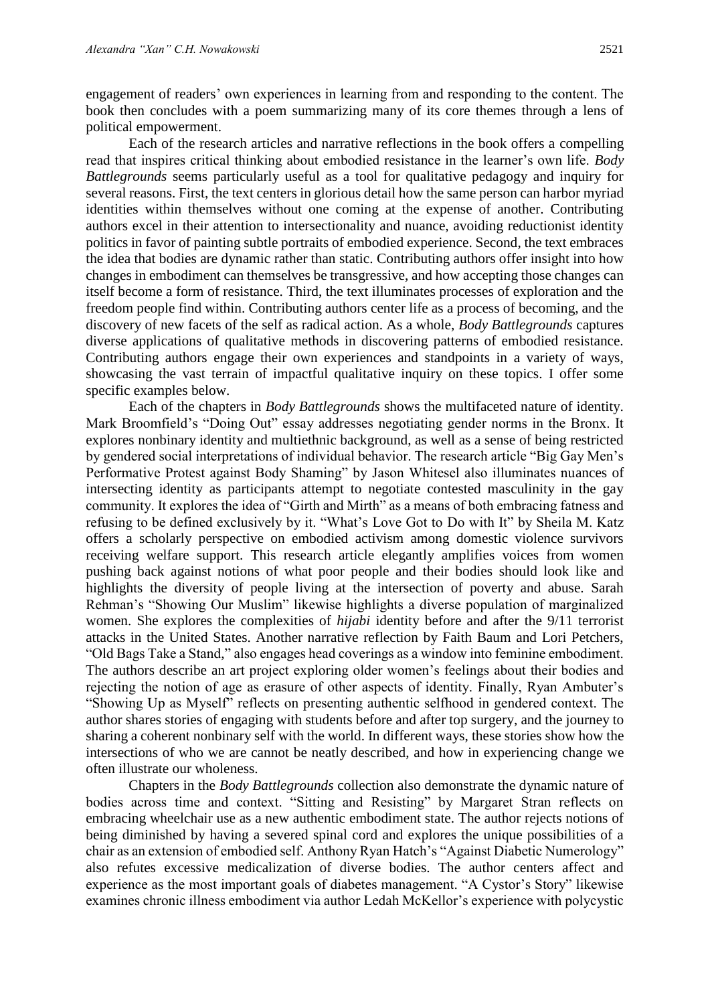engagement of readers' own experiences in learning from and responding to the content. The book then concludes with a poem summarizing many of its core themes through a lens of political empowerment.

Each of the research articles and narrative reflections in the book offers a compelling read that inspires critical thinking about embodied resistance in the learner's own life. *Body Battlegrounds* seems particularly useful as a tool for qualitative pedagogy and inquiry for several reasons. First, the text centers in glorious detail how the same person can harbor myriad identities within themselves without one coming at the expense of another. Contributing authors excel in their attention to intersectionality and nuance, avoiding reductionist identity politics in favor of painting subtle portraits of embodied experience. Second, the text embraces the idea that bodies are dynamic rather than static. Contributing authors offer insight into how changes in embodiment can themselves be transgressive, and how accepting those changes can itself become a form of resistance. Third, the text illuminates processes of exploration and the freedom people find within. Contributing authors center life as a process of becoming, and the discovery of new facets of the self as radical action. As a whole, *Body Battlegrounds* captures diverse applications of qualitative methods in discovering patterns of embodied resistance. Contributing authors engage their own experiences and standpoints in a variety of ways, showcasing the vast terrain of impactful qualitative inquiry on these topics. I offer some specific examples below.

Each of the chapters in *Body Battlegrounds* shows the multifaceted nature of identity. Mark Broomfield's "Doing Out" essay addresses negotiating gender norms in the Bronx. It explores nonbinary identity and multiethnic background, as well as a sense of being restricted by gendered social interpretations of individual behavior. The research article "Big Gay Men's Performative Protest against Body Shaming" by Jason Whitesel also illuminates nuances of intersecting identity as participants attempt to negotiate contested masculinity in the gay community. It explores the idea of "Girth and Mirth" as a means of both embracing fatness and refusing to be defined exclusively by it. "What's Love Got to Do with It" by Sheila M. Katz offers a scholarly perspective on embodied activism among domestic violence survivors receiving welfare support. This research article elegantly amplifies voices from women pushing back against notions of what poor people and their bodies should look like and highlights the diversity of people living at the intersection of poverty and abuse. Sarah Rehman's "Showing Our Muslim" likewise highlights a diverse population of marginalized women. She explores the complexities of *hijabi* identity before and after the 9/11 terrorist attacks in the United States. Another narrative reflection by Faith Baum and Lori Petchers, "Old Bags Take a Stand," also engages head coverings as a window into feminine embodiment. The authors describe an art project exploring older women's feelings about their bodies and rejecting the notion of age as erasure of other aspects of identity. Finally, Ryan Ambuter's "Showing Up as Myself" reflects on presenting authentic selfhood in gendered context. The author shares stories of engaging with students before and after top surgery, and the journey to sharing a coherent nonbinary self with the world. In different ways, these stories show how the intersections of who we are cannot be neatly described, and how in experiencing change we often illustrate our wholeness.

Chapters in the *Body Battlegrounds* collection also demonstrate the dynamic nature of bodies across time and context. "Sitting and Resisting" by Margaret Stran reflects on embracing wheelchair use as a new authentic embodiment state. The author rejects notions of being diminished by having a severed spinal cord and explores the unique possibilities of a chair as an extension of embodied self. Anthony Ryan Hatch's "Against Diabetic Numerology" also refutes excessive medicalization of diverse bodies. The author centers affect and experience as the most important goals of diabetes management. "A Cystor's Story" likewise examines chronic illness embodiment via author Ledah McKellor's experience with polycystic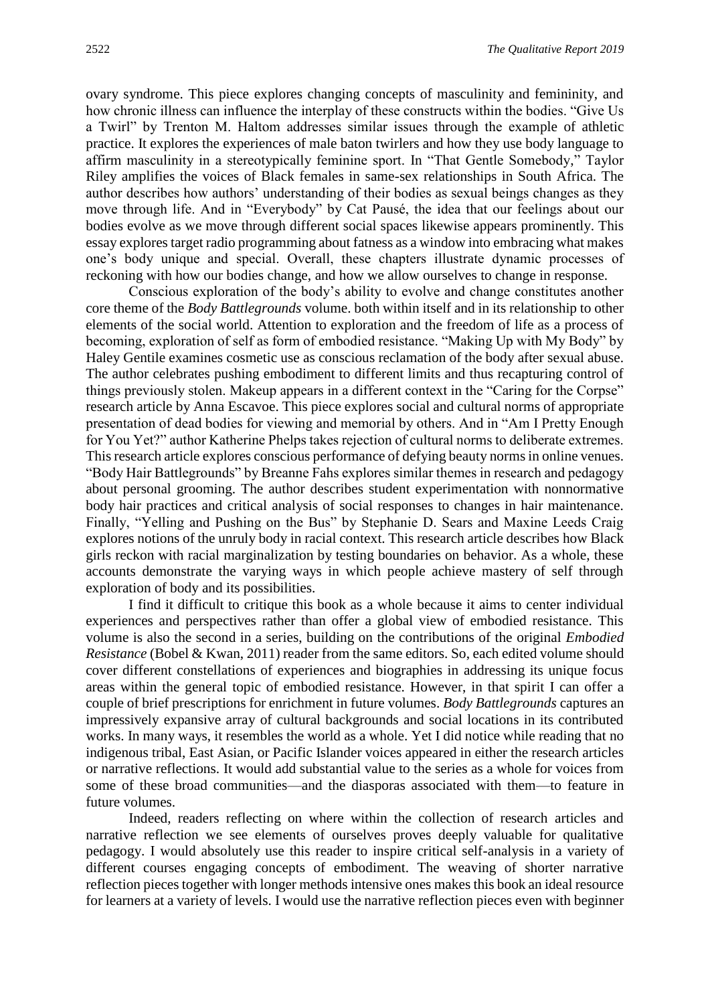ovary syndrome. This piece explores changing concepts of masculinity and femininity, and how chronic illness can influence the interplay of these constructs within the bodies. "Give Us a Twirl" by Trenton M. Haltom addresses similar issues through the example of athletic practice. It explores the experiences of male baton twirlers and how they use body language to affirm masculinity in a stereotypically feminine sport. In "That Gentle Somebody," Taylor Riley amplifies the voices of Black females in same-sex relationships in South Africa. The author describes how authors' understanding of their bodies as sexual beings changes as they move through life. And in "Everybody" by Cat Pausé, the idea that our feelings about our bodies evolve as we move through different social spaces likewise appears prominently. This essay explores target radio programming about fatness as a window into embracing what makes one's body unique and special. Overall, these chapters illustrate dynamic processes of reckoning with how our bodies change, and how we allow ourselves to change in response.

Conscious exploration of the body's ability to evolve and change constitutes another core theme of the *Body Battlegrounds* volume. both within itself and in its relationship to other elements of the social world. Attention to exploration and the freedom of life as a process of becoming, exploration of self as form of embodied resistance. "Making Up with My Body" by Haley Gentile examines cosmetic use as conscious reclamation of the body after sexual abuse. The author celebrates pushing embodiment to different limits and thus recapturing control of things previously stolen. Makeup appears in a different context in the "Caring for the Corpse" research article by Anna Escavoe. This piece explores social and cultural norms of appropriate presentation of dead bodies for viewing and memorial by others. And in "Am I Pretty Enough for You Yet?" author Katherine Phelps takes rejection of cultural norms to deliberate extremes. This research article explores conscious performance of defying beauty norms in online venues. "Body Hair Battlegrounds" by Breanne Fahs explores similar themes in research and pedagogy about personal grooming. The author describes student experimentation with nonnormative body hair practices and critical analysis of social responses to changes in hair maintenance. Finally, "Yelling and Pushing on the Bus" by Stephanie D. Sears and Maxine Leeds Craig explores notions of the unruly body in racial context. This research article describes how Black girls reckon with racial marginalization by testing boundaries on behavior. As a whole, these accounts demonstrate the varying ways in which people achieve mastery of self through exploration of body and its possibilities.

I find it difficult to critique this book as a whole because it aims to center individual experiences and perspectives rather than offer a global view of embodied resistance. This volume is also the second in a series, building on the contributions of the original *Embodied Resistance* (Bobel & Kwan, 2011) reader from the same editors. So, each edited volume should cover different constellations of experiences and biographies in addressing its unique focus areas within the general topic of embodied resistance. However, in that spirit I can offer a couple of brief prescriptions for enrichment in future volumes. *Body Battlegrounds* captures an impressively expansive array of cultural backgrounds and social locations in its contributed works. In many ways, it resembles the world as a whole. Yet I did notice while reading that no indigenous tribal, East Asian, or Pacific Islander voices appeared in either the research articles or narrative reflections. It would add substantial value to the series as a whole for voices from some of these broad communities—and the diasporas associated with them—to feature in future volumes.

Indeed, readers reflecting on where within the collection of research articles and narrative reflection we see elements of ourselves proves deeply valuable for qualitative pedagogy. I would absolutely use this reader to inspire critical self-analysis in a variety of different courses engaging concepts of embodiment. The weaving of shorter narrative reflection pieces together with longer methods intensive ones makes this book an ideal resource for learners at a variety of levels. I would use the narrative reflection pieces even with beginner